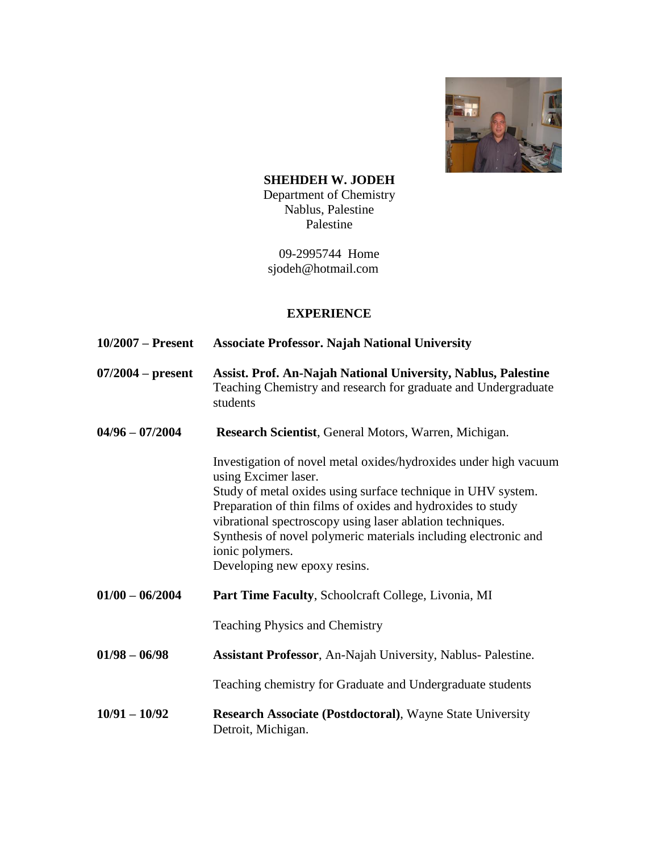

**SHEHDEH W. JODEH** Department of Chemistry Nablus, Palestine Palestine

09-2995744 Home sjodeh@hotmail.com

# **EXPERIENCE**

- **10/2007 – Present Associate Professor. Najah National University**
- **07/2004 – present Assist. Prof. An-Najah National University, Nablus, Palestine** Teaching Chemistry and research for graduate and Undergraduate students
- **04/96 – 07/2004 Research Scientist**, General Motors, Warren, Michigan.

Investigation of novel metal oxides/hydroxides under high vacuum using Excimer laser. Study of metal oxides using surface technique in UHV system. Preparation of thin films of oxides and hydroxides to study vibrational spectroscopy using laser ablation techniques. Synthesis of novel polymeric materials including electronic and ionic polymers. Developing new epoxy resins.

**01/00 – 06/2004 Part Time Faculty**, Schoolcraft College, Livonia, MI

Teaching Physics and Chemistry

**01/98 – 06/98 Assistant Professor**, An-Najah University, Nablus- Palestine.

Teaching chemistry for Graduate and Undergraduate students

**10/91 – 10/92 Research Associate (Postdoctoral)**, Wayne State University Detroit, Michigan.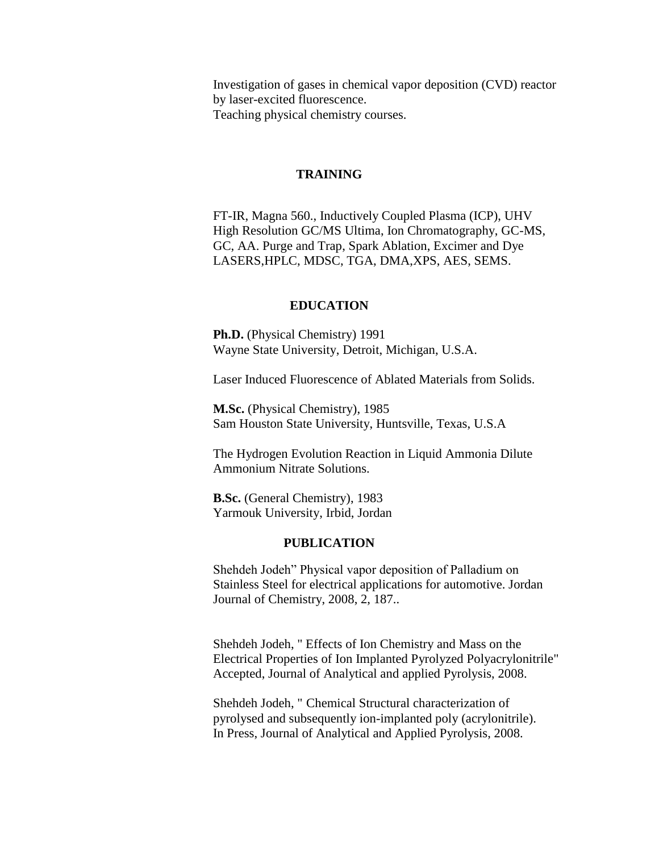Investigation of gases in chemical vapor deposition (CVD) reactor by laser-excited fluorescence. Teaching physical chemistry courses.

## **TRAINING**

FT-IR, Magna 560., Inductively Coupled Plasma (ICP), UHV High Resolution GC/MS Ultima, Ion Chromatography, GC-MS, GC, AA. Purge and Trap, Spark Ablation, Excimer and Dye LASERS,HPLC, MDSC, TGA, DMA,XPS, AES, SEMS.

### **EDUCATION**

**Ph.D.** (Physical Chemistry) 1991 Wayne State University, Detroit, Michigan, U.S.A.

Laser Induced Fluorescence of Ablated Materials from Solids.

**M.Sc.** (Physical Chemistry), 1985 Sam Houston State University, Huntsville, Texas, U.S.A

The Hydrogen Evolution Reaction in Liquid Ammonia Dilute Ammonium Nitrate Solutions.

**B.Sc.** (General Chemistry), 1983 Yarmouk University, Irbid, Jordan

#### **PUBLICATION**

Shehdeh Jodeh" Physical vapor deposition of Palladium on Stainless Steel for electrical applications for automotive. Jordan Journal of Chemistry, 2008, 2, 187..

Shehdeh Jodeh, " Effects of Ion Chemistry and Mass on the Electrical Properties of Ion Implanted Pyrolyzed Polyacrylonitrile" Accepted, Journal of Analytical and applied Pyrolysis, 2008.

Shehdeh Jodeh, " Chemical Structural characterization of pyrolysed and subsequently ion-implanted poly (acrylonitrile). In Press, Journal of Analytical and Applied Pyrolysis, 2008.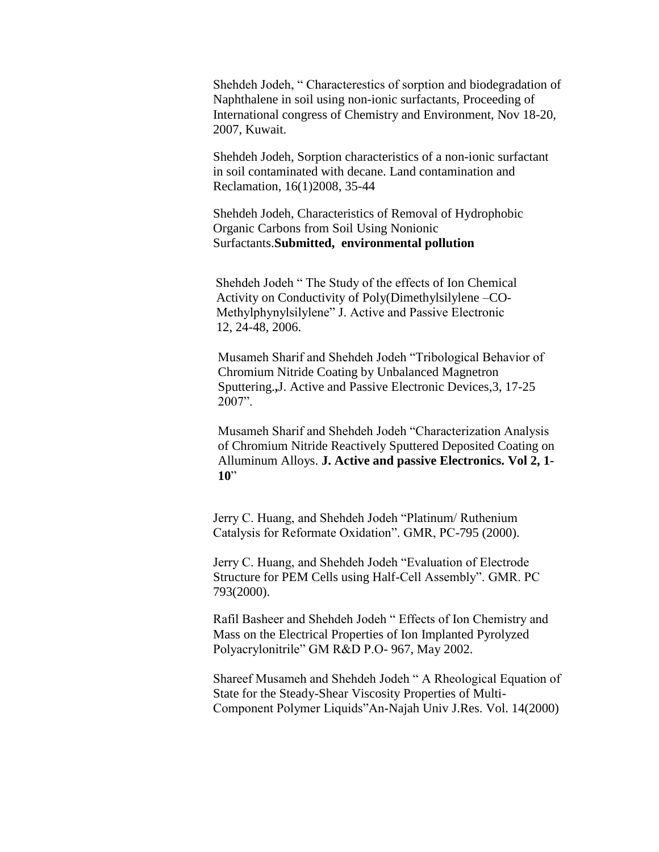Shehdeh Jodeh, " Characterestics of sorption and biodegradation of Naphthalene in soil using non-ionic surfactants, Proceeding of International congress of Chemistry and Environment, Nov 18-20, 2007, Kuwait.

Shehdeh Jodeh, Sorption characteristics of a non-ionic surfactant in soil contaminated with decane. Land contamination and Reclamation, 16(1)2008, 35-44

Shehdeh Jodeh, Characteristics of Removal of Hydrophobic Organic Carbons from Soil Using Nonionic Surfactants.**Submitted, environmental pollution**

Shehdeh Jodeh " The Study of the effects of Ion Chemical Activity on Conductivity of Poly(Dimethylsilylene –CO-Methylphynylsilylene" J. Active and Passive Electronic 12, 24-48, 2006.

Musameh Sharif and Shehdeh Jodeh "Tribological Behavior of Chromium Nitride Coating by Unbalanced Magnetron Sputtering.**,**J. Active and Passive Electronic Devices,3, 17-25 2007".

Musameh Sharif and Shehdeh Jodeh "Characterization Analysis of Chromium Nitride Reactively Sputtered Deposited Coating on Alluminum Alloys. **J. Active and passive Electronics. Vol 2, 1- 10**"

Jerry C. Huang, and Shehdeh Jodeh "Platinum/ Ruthenium Catalysis for Reformate Oxidation". GMR, PC-795 (2000).

Jerry C. Huang, and Shehdeh Jodeh "Evaluation of Electrode Structure for PEM Cells using Half-Cell Assembly". GMR. PC 793(2000).

Rafil Basheer and Shehdeh Jodeh " Effects of Ion Chemistry and Mass on the Electrical Properties of Ion Implanted Pyrolyzed Polyacrylonitrile" GM R&D P.O- 967, May 2002.

Shareef Musameh and Shehdeh Jodeh " A Rheological Equation of State for the Steady-Shear Viscosity Properties of Multi-Component Polymer Liquids"An-Najah Univ J.Res. Vol. 14(2000)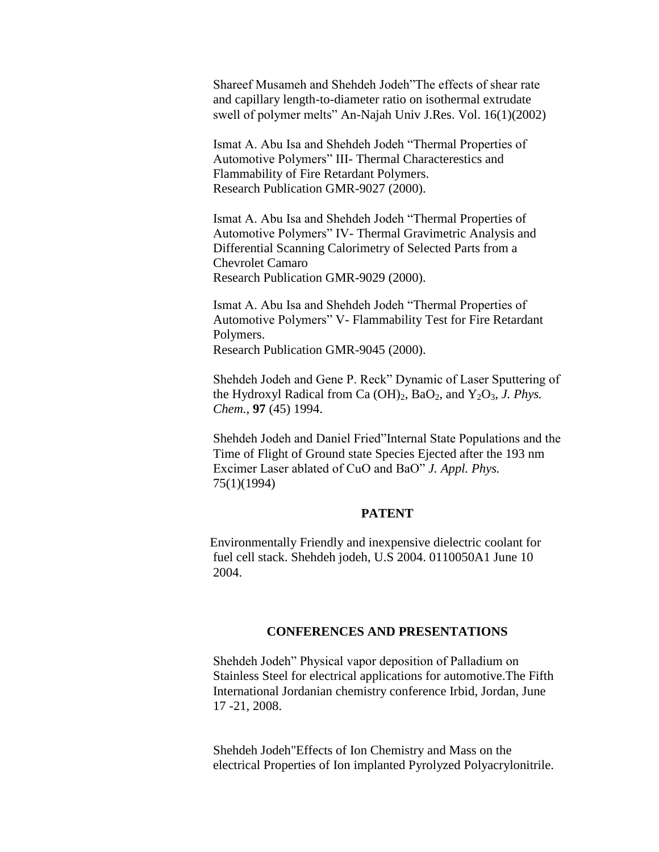Shareef Musameh and Shehdeh Jodeh"The effects of shear rate and capillary length-to-diameter ratio on isothermal extrudate swell of polymer melts" An-Najah Univ J.Res. Vol. 16(1)(2002)

Ismat A. Abu Isa and Shehdeh Jodeh "Thermal Properties of Automotive Polymers" III- Thermal Characterestics and Flammability of Fire Retardant Polymers. Research Publication GMR-9027 (2000).

Ismat A. Abu Isa and Shehdeh Jodeh "Thermal Properties of Automotive Polymers" IV- Thermal Gravimetric Analysis and Differential Scanning Calorimetry of Selected Parts from a Chevrolet Camaro Research Publication GMR-9029 (2000).

Ismat A. Abu Isa and Shehdeh Jodeh "Thermal Properties of Automotive Polymers" V- Flammability Test for Fire Retardant Polymers.

Research Publication GMR-9045 (2000).

Shehdeh Jodeh and Gene P. Reck" Dynamic of Laser Sputtering of the Hydroxyl Radical from Ca  $(OH)_2$ , Ba $O_2$ , and Y<sub>2</sub> $O_3$ , *J. Phys. Chem.*, **97** (45) 1994.

Shehdeh Jodeh and Daniel Fried"Internal State Populations and the Time of Flight of Ground state Species Ejected after the 193 nm Excimer Laser ablated of CuO and BaO" *J. Appl. Phys.* 75(1)(1994)

### **PATENT**

 Environmentally Friendly and inexpensive dielectric coolant for fuel cell stack. Shehdeh jodeh, U.S 2004. 0110050A1 June 10 2004.

## **CONFERENCES AND PRESENTATIONS**

Shehdeh Jodeh" Physical vapor deposition of Palladium on Stainless Steel for electrical applications for automotive.The Fifth International Jordanian chemistry conference Irbid, Jordan, June 17 -21, 2008.

Shehdeh Jodeh"Effects of Ion Chemistry and Mass on the electrical Properties of Ion implanted Pyrolyzed Polyacrylonitrile.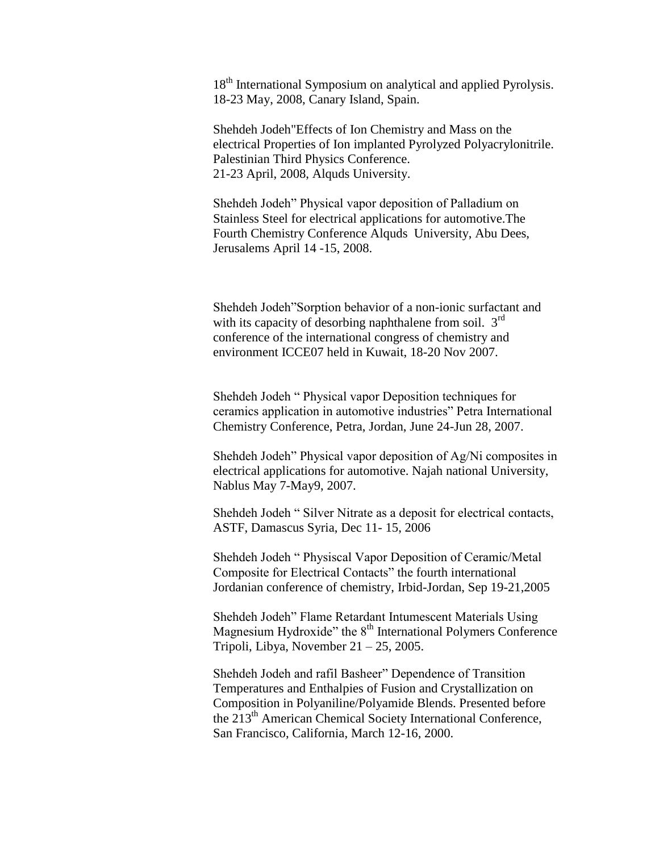18<sup>th</sup> International Symposium on analytical and applied Pyrolysis. 18-23 May, 2008, Canary Island, Spain.

Shehdeh Jodeh"Effects of Ion Chemistry and Mass on the electrical Properties of Ion implanted Pyrolyzed Polyacrylonitrile. Palestinian Third Physics Conference. 21-23 April, 2008, Alquds University.

Shehdeh Jodeh" Physical vapor deposition of Palladium on Stainless Steel for electrical applications for automotive.The Fourth Chemistry Conference Alquds University, Abu Dees, Jerusalems April 14 -15, 2008.

Shehdeh Jodeh"Sorption behavior of a non-ionic surfactant and with its capacity of desorbing naphthalene from soil.  $3<sup>rd</sup>$ conference of the international congress of chemistry and environment ICCE07 held in Kuwait, 18-20 Nov 2007.

Shehdeh Jodeh " Physical vapor Deposition techniques for ceramics application in automotive industries" Petra International Chemistry Conference, Petra, Jordan, June 24-Jun 28, 2007.

Shehdeh Jodeh" Physical vapor deposition of Ag/Ni composites in electrical applications for automotive. Najah national University, Nablus May 7-May9, 2007.

Shehdeh Jodeh " Silver Nitrate as a deposit for electrical contacts, ASTF, Damascus Syria, Dec 11- 15, 2006

Shehdeh Jodeh " Physiscal Vapor Deposition of Ceramic/Metal Composite for Electrical Contacts" the fourth international Jordanian conference of chemistry, Irbid-Jordan, Sep 19-21,2005

Shehdeh Jodeh" Flame Retardant Intumescent Materials Using Magnesium Hydroxide" the  $8<sup>th</sup>$  International Polymers Conference Tripoli, Libya, November  $21 - 25$ , 2005.

Shehdeh Jodeh and rafil Basheer" Dependence of Transition Temperatures and Enthalpies of Fusion and Crystallization on Composition in Polyaniline/Polyamide Blends. Presented before the 213<sup>th</sup> American Chemical Society International Conference, San Francisco, California, March 12-16, 2000.